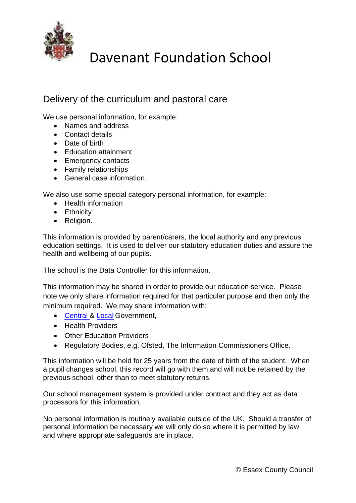

## Davenant Foundation School

## Delivery of the curriculum and pastoral care

We use personal information, for example:

- Names and address
- Contact details
- Date of birth
- Education attainment
- Emergency contacts
- Family relationships
- General case information.

We also use some special category personal information, for example:

- Health information
- Ethnicity
- Religion.

This information is provided by parent/carers, the local authority and any previous education settings. It is used to deliver our statutory education duties and assure the health and wellbeing of our pupils.

The school is the Data Controller for this information.

This information may be shared in order to provide our education service. Please note we only share information required for that particular purpose and then only the minimum required. We may share information with:

- [Central &](https://www.gov.uk/guidance/data-protection-how-we-collect-and-share-research-data) [Local](http://www.essex.gov.uk/Education-Schools/Schools/Delivering-Education-Essex/Privacy-policies-pupil-data/Pages/Local-Authority-use-of-personal-data.aspx) Government,
- Health Providers
- Other Education Providers
- Regulatory Bodies, e.g. Ofsted, The Information Commissioners Office.

This information will be held for 25 years from the date of birth of the student. When a pupil changes school, this record will go with them and will not be retained by the previous school, other than to meet statutory returns.

Our school management system is provided under contract and they act as data processors for this information.

No personal information is routinely available outside of the UK. Should a transfer of personal information be necessary we will only do so where it is permitted by law and where appropriate safeguards are in place.